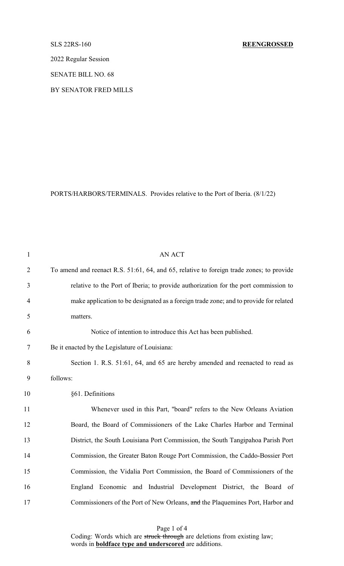2022 Regular Session

SENATE BILL NO. 68

BY SENATOR FRED MILLS

PORTS/HARBORS/TERMINALS. Provides relative to the Port of Iberia. (8/1/22)

| $\mathbf{1}$   | AN ACT                                                                                   |
|----------------|------------------------------------------------------------------------------------------|
| $\overline{2}$ | To amend and reenact R.S. 51:61, 64, and 65, relative to foreign trade zones; to provide |
| 3              | relative to the Port of Iberia; to provide authorization for the port commission to      |
| $\overline{4}$ | make application to be designated as a foreign trade zone; and to provide for related    |
| 5              | matters.                                                                                 |
| 6              | Notice of intention to introduce this Act has been published.                            |
| 7              | Be it enacted by the Legislature of Louisiana:                                           |
| 8              | Section 1. R.S. 51:61, 64, and 65 are hereby amended and reenacted to read as            |
| 9              | follows:                                                                                 |
| 10             | §61. Definitions                                                                         |
| 11             | Whenever used in this Part, "board" refers to the New Orleans Aviation                   |
| 12             | Board, the Board of Commissioners of the Lake Charles Harbor and Terminal                |
| 13             | District, the South Louisiana Port Commission, the South Tangipahoa Parish Port          |
| 14             | Commission, the Greater Baton Rouge Port Commission, the Caddo-Bossier Port              |
| 15             | Commission, the Vidalia Port Commission, the Board of Commissioners of the               |
| 16             | England Economic and Industrial Development District, the Board of                       |
| 17             | Commissioners of the Port of New Orleans, and the Plaquemines Port, Harbor and           |

Page 1 of 4 Coding: Words which are struck through are deletions from existing law; words in **boldface type and underscored** are additions.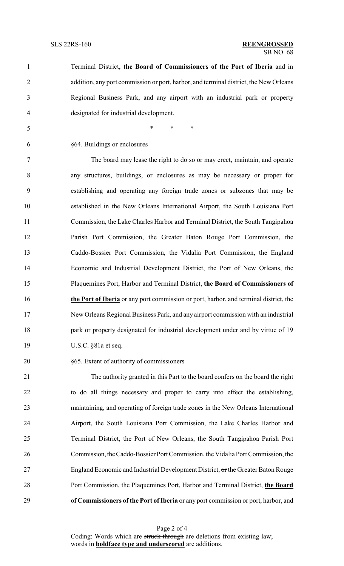| $\mathbf{1}$   | Terminal District, the Board of Commissioners of the Port of Iberia and in            |
|----------------|---------------------------------------------------------------------------------------|
| $\overline{2}$ | addition, any port commission or port, harbor, and terminal district, the New Orleans |
| 3              | Regional Business Park, and any airport with an industrial park or property           |
| 4              | designated for industrial development.                                                |
| 5              | $\ast$<br>$\ast$<br>∗                                                                 |
| 6              | §64. Buildings or enclosures                                                          |
| 7              | The board may lease the right to do so or may erect, maintain, and operate            |
| 8              | any structures, buildings, or enclosures as may be necessary or proper for            |
| 9              | establishing and operating any foreign trade zones or subzones that may be            |
| 10             | established in the New Orleans International Airport, the South Louisiana Port        |
| 11             | Commission, the Lake Charles Harbor and Terminal District, the South Tangipahoa       |
| 12             | Parish Port Commission, the Greater Baton Rouge Port Commission, the                  |
| 13             | Caddo-Bossier Port Commission, the Vidalia Port Commission, the England               |
| 14             | Economic and Industrial Development District, the Port of New Orleans, the            |
| 15             | Plaquemines Port, Harbor and Terminal District, the Board of Commissioners of         |
| 16             | the Port of Iberia or any port commission or port, harbor, and terminal district, the |
| 17             | New Orleans Regional Business Park, and any airport commission with an industrial     |
| 18             | park or property designated for industrial development under and by virtue of 19      |
| 19             | U.S.C. §81a et seq.                                                                   |
| 20             | §65. Extent of authority of commissioners                                             |
|                |                                                                                       |

 The authority granted in this Part to the board confers on the board the right to do all things necessary and proper to carry into effect the establishing, maintaining, and operating of foreign trade zones in the New Orleans International Airport, the South Louisiana Port Commission, the Lake Charles Harbor and Terminal District, the Port of New Orleans, the South Tangipahoa Parish Port Commission, theCaddo-Bossier Port Commission, the Vidalia Port Commission, the England Economic and Industrial Development District, or the Greater Baton Rouge Port Commission, the Plaquemines Port, Harbor and Terminal District, **the Board of Commissioners of the Port of Iberia** or any port commission or port, harbor, and

Page 2 of 4 Coding: Words which are struck through are deletions from existing law; words in **boldface type and underscored** are additions.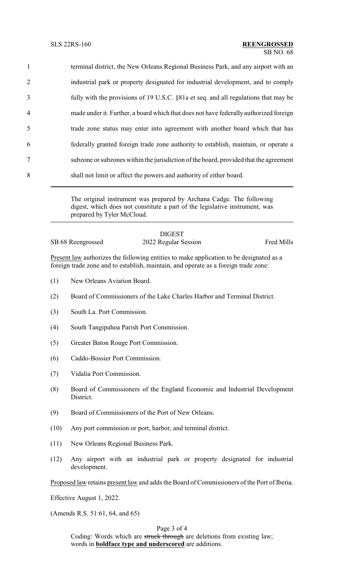| $\mathbf{1}$   | terminal district, the New Orleans Regional Business Park, and any airport with an    |
|----------------|---------------------------------------------------------------------------------------|
| $\overline{2}$ | industrial park or property designated for industrial development, and to comply      |
| 3              | fully with the provisions of 19 U.S.C. §81a et seq. and all regulations that may be   |
| 4              | made under it. Further, a board which that does not have federally authorized foreign |
| 5              | trade zone status may enter into agreement with another board which that has          |
| 6              | federally granted foreign trade zone authority to establish, maintain, or operate a   |
| $\tau$         | subzone or subzones within the jurisdiction of the board, provided that the agreement |
| 8              | shall not limit or affect the powers and authority of either board.                   |

The original instrument was prepared by Archana Cadge. The following digest, which does not constitute a part of the legislative instrument, was prepared by Tyler McCloud.

|                   | <b>DIGEST</b>        |                   |
|-------------------|----------------------|-------------------|
| SB 68 Reengrossed | 2022 Regular Session | <b>Fred Mills</b> |

Present law authorizes the following entities to make application to be designated as a foreign trade zone and to establish, maintain, and operate as a foreign trade zone:

- (1) New Orleans Aviation Board.
- (2) Board of Commissioners of the Lake Charles Harbor and Terminal District.
- (3) South La. Port Commission.
- (4) South Tangipahoa Parish Port Commission.
- (5) Greater Baton Rouge Port Commission.
- (6) Caddo-Bossier Port Commission.
- (7) Vidalia Port Commission.
- (8) Board of Commissioners of the England Economic and Industrial Development District.
- (9) Board of Commissioners of the Port of New Orleans.
- (10) Any port commission or port, harbor, and terminal district.
- (11) New Orleans Regional Business Park.
- (12) Any airport with an industrial park or property designated for industrial development.

Proposed law retains present law and adds the Board of Commissioners of the Port of Iberia.

Effective August 1, 2022.

(Amends R.S. 51:61, 64, and 65)

# Page 3 of 4

Coding: Words which are struck through are deletions from existing law; words in **boldface type and underscored** are additions.